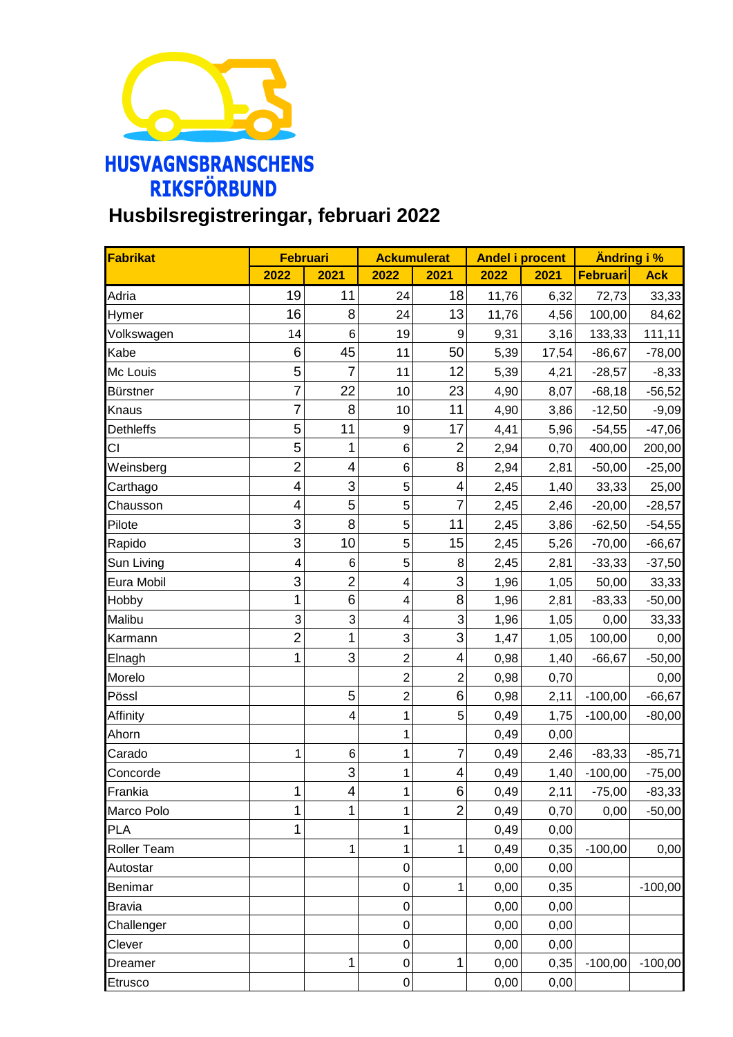

## **Husbilsregistreringar, februari 2022**

| Fabrikat         | <b>Februari</b>         |                         | <b>Ackumulerat</b>      |                         | <b>Andel i procent</b> |       | Ändring i % |            |
|------------------|-------------------------|-------------------------|-------------------------|-------------------------|------------------------|-------|-------------|------------|
|                  | 2022                    | 2021                    | 2022                    | 2021                    | 2022                   | 2021  | Februari    | <b>Ack</b> |
| Adria            | 19                      | 11                      | 24                      | 18                      | 11,76                  | 6,32  | 72,73       | 33,33      |
| Hymer            | 16                      | 8                       | 24                      | 13                      | 11,76                  | 4,56  | 100,00      | 84,62      |
| Volkswagen       | 14                      | 6                       | 19                      | 9                       | 9,31                   | 3,16  | 133,33      | 111, 11    |
| Kabe             | 6                       | 45                      | 11                      | 50                      | 5,39                   | 17,54 | $-86,67$    | $-78,00$   |
| Mc Louis         | 5                       | $\overline{7}$          | 11                      | 12                      | 5,39                   | 4,21  | $-28,57$    | $-8,33$    |
| Bürstner         | $\overline{7}$          | 22                      | 10                      | 23                      | 4,90                   | 8,07  | $-68,18$    | $-56,52$   |
| Knaus            | $\overline{7}$          | 8                       | 10                      | 11                      | 4,90                   | 3,86  | $-12,50$    | $-9,09$    |
| <b>Dethleffs</b> | 5                       | 11                      | $\boldsymbol{9}$        | 17                      | 4,41                   | 5,96  | $-54,55$    | $-47,06$   |
| CI               | 5                       | 1                       | 6                       | $\overline{2}$          | 2,94                   | 0,70  | 400,00      | 200,00     |
| Weinsberg        | $\overline{c}$          | $\overline{\mathbf{4}}$ | $\,6$                   | 8                       | 2,94                   | 2,81  | $-50,00$    | $-25,00$   |
| Carthago         | $\overline{\mathbf{4}}$ | 3                       | 5                       | $\overline{\mathbf{4}}$ | 2,45                   | 1,40  | 33,33       | 25,00      |
| Chausson         | 4                       | 5                       | 5                       | $\overline{7}$          | 2,45                   | 2,46  | $-20,00$    | $-28,57$   |
| Pilote           | 3                       | 8                       | 5                       | 11                      | 2,45                   | 3,86  | $-62,50$    | $-54,55$   |
| Rapido           | 3                       | 10                      | $\sqrt{5}$              | 15                      | 2,45                   | 5,26  | $-70,00$    | $-66,67$   |
| Sun Living       | 4                       | $\,6$                   | 5                       | 8                       | 2,45                   | 2,81  | $-33,33$    | $-37,50$   |
| Eura Mobil       | 3                       | $\overline{2}$          | $\overline{\mathbf{4}}$ | 3                       | 1,96                   | 1,05  | 50,00       | 33,33      |
| Hobby            | $\overline{1}$          | 6                       | $\overline{\mathbf{4}}$ | 8                       | 1,96                   | 2,81  | $-83,33$    | $-50,00$   |
| Malibu           | 3                       | 3                       | $\overline{\mathbf{4}}$ | 3                       | 1,96                   | 1,05  | 0,00        | 33,33      |
| Karmann          | $\overline{2}$          | $\mathbf{1}$            | 3                       | 3                       | 1,47                   | 1,05  | 100,00      | 0,00       |
| Elnagh           | $\mathbf{1}$            | 3                       | $\overline{2}$          | 4                       | 0,98                   | 1,40  | $-66,67$    | $-50,00$   |
| Morelo           |                         |                         | $\overline{2}$          | $\overline{2}$          | 0,98                   | 0,70  |             | 0,00       |
| Pössl            |                         | 5                       | $\overline{2}$          | 6                       | 0,98                   | 2,11  | $-100,00$   | $-66,67$   |
| Affinity         |                         | $\overline{\mathbf{4}}$ | 1                       | 5                       | 0,49                   | 1,75  | $-100,00$   | $-80,00$   |
| Ahorn            |                         |                         | 1                       |                         | 0,49                   | 0,00  |             |            |
| Carado           | 1                       | 6                       | 1                       | $\overline{7}$          | 0,49                   | 2,46  | $-83,33$    | $-85,71$   |
| Concorde         |                         | 3                       | 1                       | 4                       | 0,49                   | 1,40  | $-100,00$   | $-75,00$   |
| Frankia          | $\mathbf{1}$            | 4                       | 1                       | 6                       | 0,49                   | 2,11  | $-75,00$    | $-83,33$   |
| Marco Polo       | 1                       | 1                       | 1                       | $\overline{2}$          | 0,49                   | 0,70  | 0,00        | $-50,00$   |
| <b>PLA</b>       | 1                       |                         | 1                       |                         | 0,49                   | 0,00  |             |            |
| Roller Team      |                         | 1                       | 1                       | $\mathbf{1}$            | 0,49                   | 0,35  | $-100,00$   | 0,00       |
| Autostar         |                         |                         | 0                       |                         | 0,00                   | 0,00  |             |            |
| Benimar          |                         |                         | $\mathbf 0$             | $\mathbf{1}$            | 0,00                   | 0,35  |             | $-100,00$  |
| <b>Bravia</b>    |                         |                         | $\mathbf 0$             |                         | 0,00                   | 0,00  |             |            |
| Challenger       |                         |                         | 0                       |                         | 0,00                   | 0,00  |             |            |
| Clever           |                         |                         | $\mathbf 0$             |                         | 0,00                   | 0,00  |             |            |
| Dreamer          |                         | $\overline{1}$          | $\mathbf 0$             | $\mathbf 1$             | 0,00                   | 0,35  | $-100,00$   | $-100,00$  |
| Etrusco          |                         |                         | $\boldsymbol{0}$        |                         | 0,00                   | 0,00  |             |            |